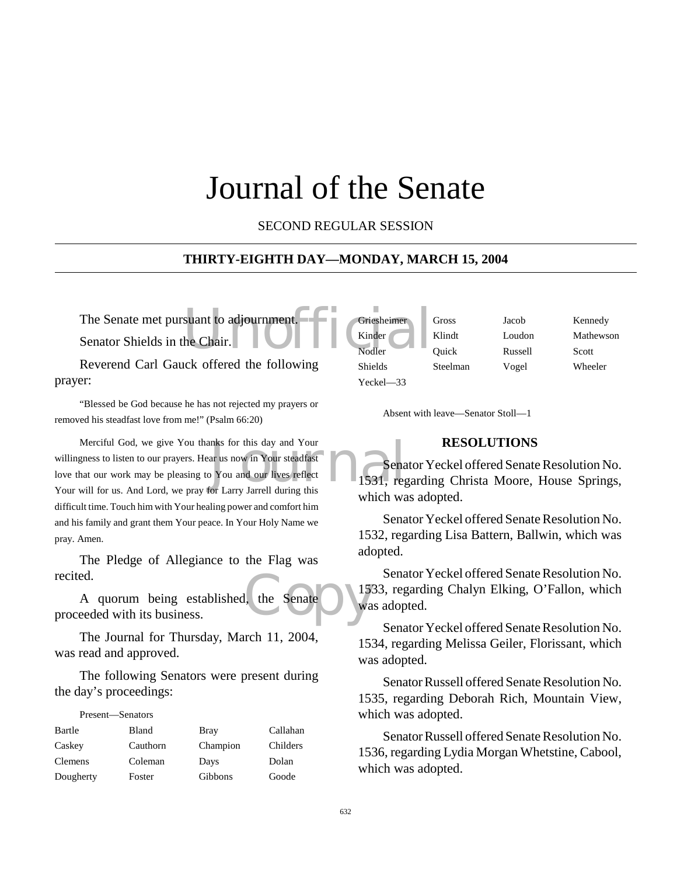# Journal of the Senate

SECOND REGULAR SESSION

#### **THIRTY-EIGHTH DAY—MONDAY, MARCH 15, 2004**

The Senate met pursuant to adjournment.<br>
Senator Shields in the Chair.<br>
Nodler Senator Shields in the Chair.

Reverend Carl Gauck offered the following prayer:

"Blessed be God because he has not rejected my prayers or removed his steadfast love from me!" (Psalm 66:20)

mks for this day and Your<br>
ar us now in Your steadfast<br>
The You and our lives reflect<br>
The Tarry Jarrell during this Merciful God, we give You thanks for this day and Your willingness to listen to our prayers. Hear us now in Your steadfast love that our work may be pleasing to You and our lives reflect Your will for us. And Lord, we pray for Larry Jarrell during this difficult time. Touch him with Your healing power and comfort him and his family and grant them Your peace. In Your Holy Name we pray. Amen.

The Pledge of Allegiance to the Flag was recited.

the Senate du la A quorum being established, the Senate proceeded with its business.

The Journal for Thursday, March 11, 2004, was read and approved.

The following Senators were present during the day's proceedings:

| Present—Senators |              |          |          |
|------------------|--------------|----------|----------|
| Bartle           | <b>Bland</b> | Bray     | Callahan |
| Caskey           | Cauthorn     | Champion | Childers |
| Clemens          | Coleman      | Days     | Dolan    |
| Dougherty        | Foster       | Gibbons  | Goode    |

| Griesheimer    | Gross    | Jacob   | Kennedy   |
|----------------|----------|---------|-----------|
| Kinder         | Klindt   | Loudon  | Mathewson |
| Nodler         | Ouick    | Russell | Scott     |
| <b>Shields</b> | Steelman | Vogel   | Wheeler   |
| $Yeckel - 33$  |          |         |           |

Absent with leave—Senator Stoll—1

#### **RESOLUTIONS**

Senator Yeckel offered Senate Resolution No. 1531, regarding Christa Moore, House Springs, which was adopted.

Senator Yeckel offered Senate Resolution No. 1532, regarding Lisa Battern, Ballwin, which was adopted.

Senator Yeckel offered Senate Resolution No. 1533, regarding Chalyn Elking, O'Fallon, which was adopted.

Senator Yeckel offered Senate Resolution No. 1534, regarding Melissa Geiler, Florissant, which was adopted.

Senator Russell offered Senate Resolution No. 1535, regarding Deborah Rich, Mountain View, which was adopted.

Senator Russell offered Senate Resolution No. 1536, regarding Lydia Morgan Whetstine, Cabool, which was adopted.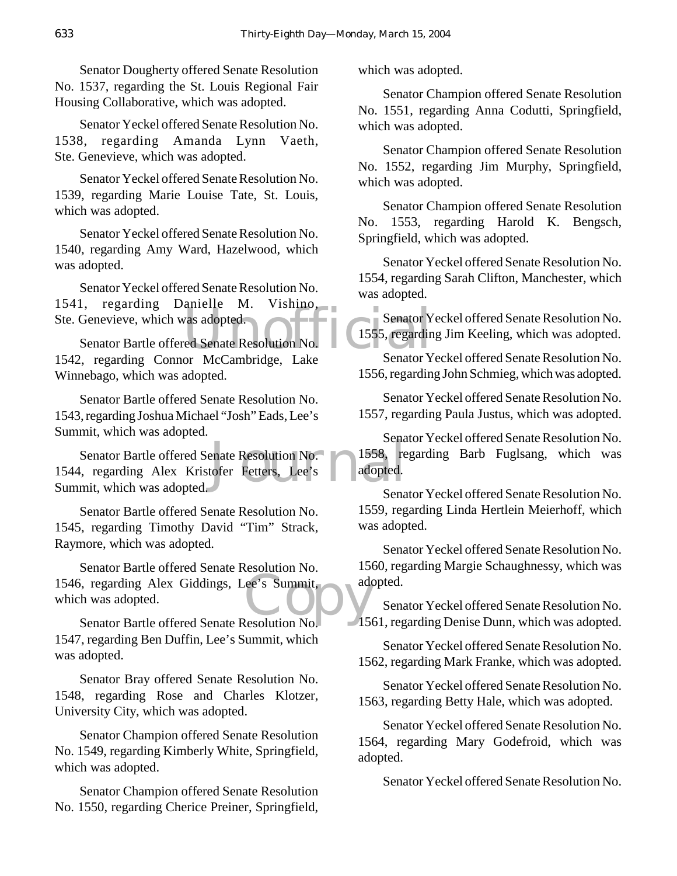Senator Dougherty offered Senate Resolution No. 1537, regarding the St. Louis Regional Fair Housing Collaborative, which was adopted.

Senator Yeckel offered Senate Resolution No. 1538, regarding Amanda Lynn Vaeth, Ste. Genevieve, which was adopted.

Senator Yeckel offered Senate Resolution No. 1539, regarding Marie Louise Tate, St. Louis, which was adopted.

Senator Yeckel offered Senate Resolution No. 1540, regarding Amy Ward, Hazelwood, which was adopted.

Senator Yeckel offered Senate Resolution No.<br>1. regarding Danielle M. Vishino, 1541, regarding Danielle M. Ste. Genevieve, which was adopted.

Example M. VISHNO, Senator Y<br>
The Senator Peace Contract Contract Contract Contract Contract Contract Contract Contract Contract Contract Contract Contract Contract Contract Contract Contract Contract Contract Contract Con Senator Bartle offered Senate Resolution No. 1542, regarding Connor McCambridge, Lake Winnebago, which was adopted.

Senator Bartle offered Senate Resolution No. 1543, regarding Joshua Michael "Josh" Eads, Lee's Summit, which was adopted.

Senate<br>
enate Resolution No. 1558, re<br>
tofer Fetters, Lee's adopted. Senator Bartle offered Senate Resolution No. 1544, regarding Alex Kristofer Fetters, Lee's Summit, which was adopted.

Senator Bartle offered Senate Resolution No. 1545, regarding Timothy David "Tim" Strack, Raymore, which was adopted.

Senator Barac Stende Resolution No.<br>
1546, regarding Alex Giddings, Lee's Summit,<br>
Senator Bartle offered Senate Resolution No. Senator Bartle offered Senate Resolution No. which was adopted.

Senator Bartle offered Senate Resolution No. 1547, regarding Ben Duffin, Lee's Summit, which was adopted.

Senator Bray offered Senate Resolution No. 1548, regarding Rose and Charles Klotzer, University City, which was adopted.

Senator Champion offered Senate Resolution No. 1549, regarding Kimberly White, Springfield, which was adopted.

Senator Champion offered Senate Resolution No. 1550, regarding Cherice Preiner, Springfield,

which was adopted.

Senator Champion offered Senate Resolution No. 1551, regarding Anna Codutti, Springfield, which was adopted.

Senator Champion offered Senate Resolution No. 1552, regarding Jim Murphy, Springfield, which was adopted.

Senator Champion offered Senate Resolution No. 1553, regarding Harold K. Bengsch, Springfield, which was adopted.

Senator Yeckel offered Senate Resolution No. 1554, regarding Sarah Clifton, Manchester, which was adopted.

Senator Yeckel offered Senate Resolution No. 1555, regarding Jim Keeling, which was adopted.

Senator Yeckel offered Senate Resolution No. 1556, regarding John Schmieg, which was adopted.

Senator Yeckel offered Senate Resolution No. 1557, regarding Paula Justus, which was adopted.

Senator Yeckel offered Senate Resolution No. 1558, regarding Barb Fuglsang, which was adopted.

Senator Yeckel offered Senate Resolution No. 1559, regarding Linda Hertlein Meierhoff, which was adopted.

Senator Yeckel offered Senate Resolution No. 1560, regarding Margie Schaughnessy, which was adopted.

Senator Yeckel offered Senate Resolution No. 1561, regarding Denise Dunn, which was adopted.

Senator Yeckel offered Senate Resolution No. 1562, regarding Mark Franke, which was adopted.

Senator Yeckel offered Senate Resolution No. 1563, regarding Betty Hale, which was adopted.

Senator Yeckel offered Senate Resolution No. 1564, regarding Mary Godefroid, which was adopted.

Senator Yeckel offered Senate Resolution No.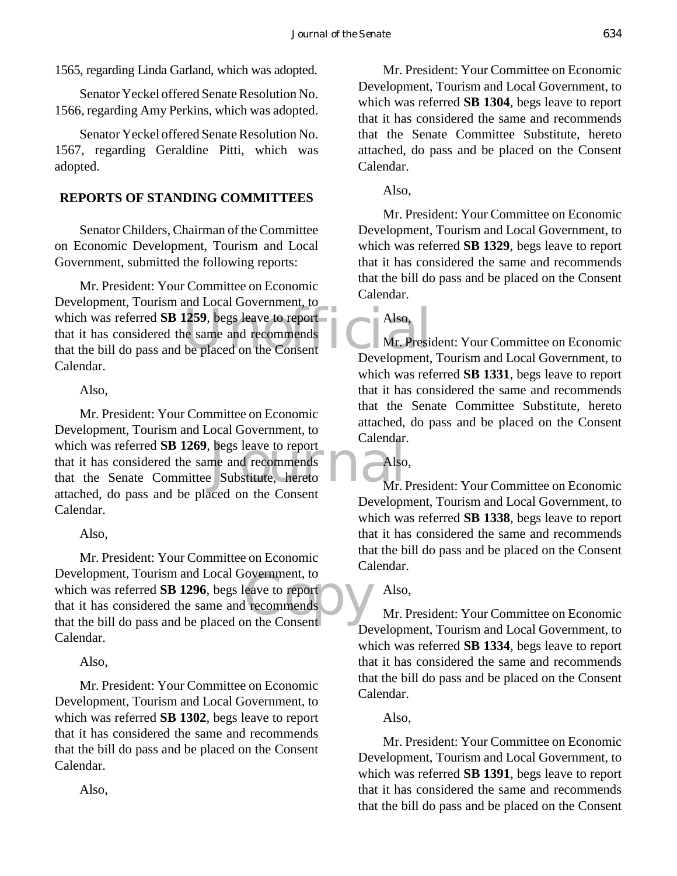1565, regarding Linda Garland, which was adopted.

Senator Yeckel offered Senate Resolution No. 1566, regarding Amy Perkins, which was adopted.

Senator Yeckel offered Senate Resolution No. 1567, regarding Geraldine Pitti, which was adopted.

# **REPORTS OF STANDING COMMITTEES**

Senator Childers, Chairman of the Committee on Economic Development, Tourism and Local Government, submitted the following reports:

Europhiem, Fourism and Essen Sovernment, to<br>
which was referred SB 1259, begs leave to report<br>
that it has considered the same and recommends<br>
that the bill do pass and be placed on the Consent<br>
Development Mr. President: Your Committee on Economic Development, Tourism and Local Government, to which was referred **SB 1259**, begs leave to report that it has considered the same and recommends Calendar.

# Also,

which was referred **SB 1269**, begs leave to report<br>that it has considered the same and recommends<br>that the Senate Committee Substitute, hereto<br>attached do ness and he placed on the Gancant Mr. President: Your Committee on Economic Development, Tourism and Local Government, to that it has considered the same and recommends that the Senate Committee Substitute, hereto attached, do pass and be placed on the Consent Calendar.

Also,

Exercise to report<br>
recommends<br>
In the Consent Mr. President: Your Committee on Economic Development, Tourism and Local Government, to which was referred **SB 1296**, begs leave to report that it has considered the same and recommends that the bill do pass and be placed on the Consent Calendar.

Also,

Mr. President: Your Committee on Economic Development, Tourism and Local Government, to which was referred **SB 1302**, begs leave to report that it has considered the same and recommends that the bill do pass and be placed on the Consent Calendar.

Mr. President: Your Committee on Economic Development, Tourism and Local Government, to which was referred **SB 1304**, begs leave to report that it has considered the same and recommends that the Senate Committee Substitute, hereto attached, do pass and be placed on the Consent Calendar.

Also,

Also,

Mr. President: Your Committee on Economic Development, Tourism and Local Government, to which was referred **SB 1329**, begs leave to report that it has considered the same and recommends that the bill do pass and be placed on the Consent Calendar.

Mr. President: Your Committee on Economic Development, Tourism and Local Government, to which was referred **SB 1331**, begs leave to report that it has considered the same and recommends that the Senate Committee Substitute, hereto attached, do pass and be placed on the Consent Calendar.

Also,

Mr. President: Your Committee on Economic Development, Tourism and Local Government, to which was referred **SB 1338**, begs leave to report that it has considered the same and recommends that the bill do pass and be placed on the Consent Calendar.

# Also,

Mr. President: Your Committee on Economic Development, Tourism and Local Government, to which was referred **SB 1334**, begs leave to report that it has considered the same and recommends that the bill do pass and be placed on the Consent Calendar.

# Also,

Mr. President: Your Committee on Economic Development, Tourism and Local Government, to which was referred **SB 1391**, begs leave to report that it has considered the same and recommends that the bill do pass and be placed on the Consent

Also,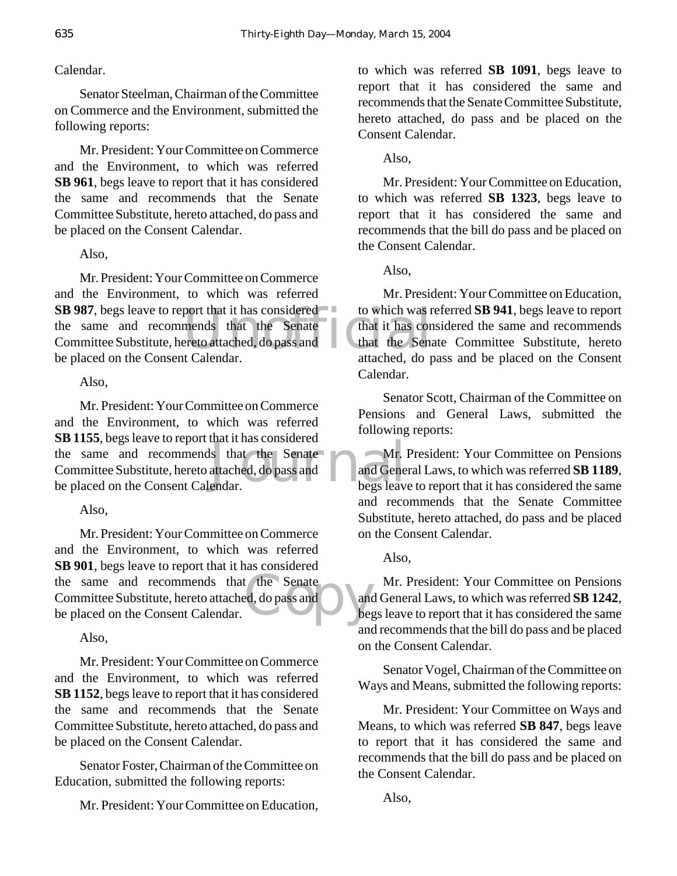Calendar.

Senator Steelman, Chairman of the Committee on Commerce and the Environment, submitted the following reports:

Mr. President: Your Committee on Commerce and the Environment, to which was referred **SB 961**, begs leave to report that it has considered the same and recommends that the Senate Committee Substitute, hereto attached, do pass and be placed on the Consent Calendar.

Also,

**SB 987**, begs leave to report that it has considered to which was r<br>the same and recommends that the Senate that it has consented that it has consented by the placed on the Consent Calendar attached do report of the senat Mr. President: Your Committee on Commerce and the Environment, to which was referred the same and recommends that the Senate Committee Substitute, hereto attached, do pass and be placed on the Consent Calendar.

Also,

Is that the Senate<br>attached, do pass and and Gene<br>endar. Mr. President: Your Committee on Commerce and the Environment, to which was referred **SB 1155**, begs leave to report that it has considered the same and recommends that the Senate Committee Substitute, hereto attached, do pass and be placed on the Consent Calendar.

Also,

the same and recommends that the Senate<br>
Committee Substitute, hereto attached, do pass and<br>
be placed on the Consent Calendar. Mr. President: Your Committee on Commerce and the Environment, to which was referred **SB 901**, begs leave to report that it has considered Committee Substitute, hereto attached, do pass and be placed on the Consent Calendar.

Also,

Mr. President: Your Committee on Commerce and the Environment, to which was referred **SB 1152**, begs leave to report that it has considered the same and recommends that the Senate Committee Substitute, hereto attached, do pass and be placed on the Consent Calendar.

Senator Foster, Chairman of the Committee on Education, submitted the following reports:

Mr. President: Your Committee on Education,

to which was referred **SB 1091**, begs leave to report that it has considered the same and recommends that the Senate Committee Substitute, hereto attached, do pass and be placed on the Consent Calendar.

Also,

Mr. President: Your Committee on Education, to which was referred **SB 1323**, begs leave to report that it has considered the same and recommends that the bill do pass and be placed on the Consent Calendar.

Also,

Mr. President: Your Committee on Education, to which was referred **SB 941**, begs leave to report that it has considered the same and recommends that the Senate Committee Substitute, hereto attached, do pass and be placed on the Consent Calendar.

Senator Scott, Chairman of the Committee on Pensions and General Laws, submitted the following reports:

Mr. President: Your Committee on Pensions and General Laws, to which was referred **SB 1189**, begs leave to report that it has considered the same and recommends that the Senate Committee Substitute, hereto attached, do pass and be placed on the Consent Calendar.

Also,

Mr. President: Your Committee on Pensions and General Laws, to which was referred **SB 1242**, begs leave to report that it has considered the same and recommends that the bill do pass and be placed on the Consent Calendar.

Senator Vogel, Chairman of the Committee on Ways and Means, submitted the following reports:

Mr. President: Your Committee on Ways and Means, to which was referred **SB 847**, begs leave to report that it has considered the same and recommends that the bill do pass and be placed on the Consent Calendar.

Also,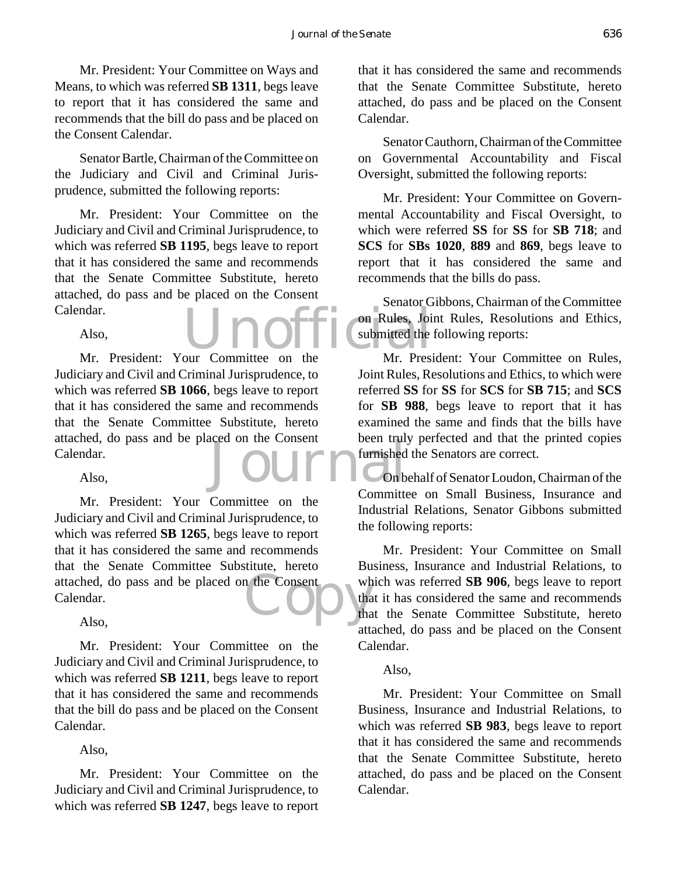Mr. President: Your Committee on Ways and Means, to which was referred **SB 1311**, begs leave to report that it has considered the same and recommends that the bill do pass and be placed on the Consent Calendar.

Senator Bartle, Chairman of the Committee on the Judiciary and Civil and Criminal Jurisprudence, submitted the following reports:

Mr. President: Your Committee on the Judiciary and Civil and Criminal Jurisprudence, to which was referred **SB 1195**, begs leave to report that it has considered the same and recommends that the Senate Committee Substitute, hereto attached, do pass and be placed on the Consent Calendar.

Also,

Journal Constant Mr. President: Your Committee on the Judiciary and Civil and Criminal Jurisprudence, to which was referred **SB 1066**, begs leave to report that it has considered the same and recommends that the Senate Committee Substitute, hereto attached, do pass and be placed on the Consent Calendar.

Also,

attached, do pass and be placed on the Consent who calendar.<br>Also, Mr. President: Your Committee on the Judiciary and Civil and Criminal Jurisprudence, to which was referred **SB 1265**, begs leave to report that it has considered the same and recommends that the Senate Committee Substitute, hereto Calendar.

Also,

Mr. President: Your Committee on the Judiciary and Civil and Criminal Jurisprudence, to which was referred **SB 1211**, begs leave to report that it has considered the same and recommends that the bill do pass and be placed on the Consent Calendar.

Also,

Mr. President: Your Committee on the Judiciary and Civil and Criminal Jurisprudence, to which was referred **SB 1247**, begs leave to report

that it has considered the same and recommends that the Senate Committee Substitute, hereto attached, do pass and be placed on the Consent Calendar.

Senator Cauthorn, Chairman of the Committee on Governmental Accountability and Fiscal Oversight, submitted the following reports:

Mr. President: Your Committee on Governmental Accountability and Fiscal Oversight, to which were referred **SS** for **SS** for **SB 718**; and **SCS** for **SBs 1020**, **889** and **869**, begs leave to report that it has considered the same and recommends that the bills do pass.

Unofficial Cubmitted the Senator Gibbons, Chairman of the Committee on Rules, Joint Rules, Resolutions and Ethics, submitted the following reports:

Mr. President: Your Committee on Rules, Joint Rules, Resolutions and Ethics, to which were referred **SS** for **SS** for **SCS** for **SB 715**; and **SCS** for **SB 988**, begs leave to report that it has examined the same and finds that the bills have been truly perfected and that the printed copies furnished the Senators are correct.

On behalf of Senator Loudon, Chairman of the Committee on Small Business, Insurance and Industrial Relations, Senator Gibbons submitted the following reports:

Mr. President: Your Committee on Small Business, Insurance and Industrial Relations, to which was referred **SB 906**, begs leave to report that it has considered the same and recommends that the Senate Committee Substitute, hereto attached, do pass and be placed on the Consent Calendar.

#### Also,

Mr. President: Your Committee on Small Business, Insurance and Industrial Relations, to which was referred **SB 983**, begs leave to report that it has considered the same and recommends that the Senate Committee Substitute, hereto attached, do pass and be placed on the Consent Calendar.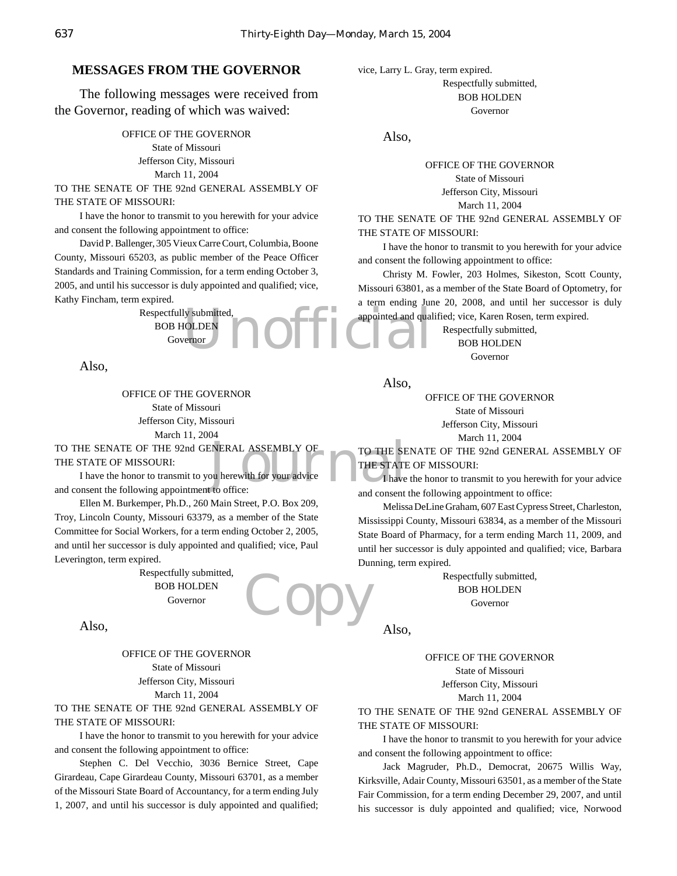#### **MESSAGES FROM THE GOVERNOR**

The following messages were received from the Governor, reading of which was waived:

> OFFICE OF THE GOVERNOR State of Missouri Jefferson City, Missouri March 11, 2004

TO THE SENATE OF THE 92nd GENERAL ASSEMBLY OF THE STATE OF MISSOURI:

I have the honor to transmit to you herewith for your advice and consent the following appointment to office:

David P. Ballenger, 305 Vieux Carre Court, Columbia, Boone County, Missouri 65203, as public member of the Peace Officer Standards and Training Commission, for a term ending October 3, 2005, and until his successor is duly appointed and qualified; vice, Kathy Fincham, term expired.

ly submitted,<br>IOLDEN<br>Ternor March 2014 Respectfully submitted, BOB HOLDEN Governor

Also,

OFFICE OF THE GOVERNOR State of Missouri Jefferson City, Missouri March 11, 2004

TO THE SE<br>
FOU herewith for your advice<br>
Like to office:<br>
The STATE<br>  $\begin{array}{|c|c|c|}\n\hline\n\text{THE STAT} & \text{THE STAT} \\\hline\n\end{array}$ TO THE SENATE OF THE 92nd GENERAL ASSEMBLY OF THE STATE OF MISSOURI:

I have the honor to transmit to you herewith for your advice and consent the following appointment to office:

Ellen M. Burkemper, Ph.D., 260 Main Street, P.O. Box 209, Troy, Lincoln County, Missouri 63379, as a member of the State Committee for Social Workers, for a term ending October 2, 2005, and until her successor is duly appointed and qualified; vice, Paul Leverington, term expired.

> Respectfully submitted, BOB HOLDEN Governor

Also,

OFFICE OF THE GOVERNOR State of Missouri Jefferson City, Missouri March 11, 2004

TO THE SENATE OF THE 92nd GENERAL ASSEMBLY OF THE STATE OF MISSOURI:

I have the honor to transmit to you herewith for your advice and consent the following appointment to office:

Stephen C. Del Vecchio, 3036 Bernice Street, Cape Girardeau, Cape Girardeau County, Missouri 63701, as a member of the Missouri State Board of Accountancy, for a term ending July 1, 2007, and until his successor is duly appointed and qualified;

vice, Larry L. Gray, term expired. Respectfully submitted, BOB HOLDEN Governor

Also,

OFFICE OF THE GOVERNOR State of Missouri Jefferson City, Missouri March 11, 2004 TO THE SENATE OF THE 92nd GENERAL ASSEMBLY OF

THE STATE OF MISSOURI:

I have the honor to transmit to you herewith for your advice and consent the following appointment to office:

Christy M. Fowler, 203 Holmes, Sikeston, Scott County, Missouri 63801, as a member of the State Board of Optometry, for a term ending June 20, 2008, and until her successor is duly appointed and qualified; vice, Karen Rosen, term expired.

> Respectfully submitted, BOB HOLDEN Governor

Also,

OFFICE OF THE GOVERNOR State of Missouri Jefferson City, Missouri

March 11, 2004

TO THE SENATE OF THE 92nd GENERAL ASSEMBLY OF THE STATE OF MISSOURI:

I have the honor to transmit to you herewith for your advice and consent the following appointment to office:

Melissa DeLine Graham, 607 East Cypress Street, Charleston, Mississippi County, Missouri 63834, as a member of the Missouri State Board of Pharmacy, for a term ending March 11, 2009, and until her successor is duly appointed and qualified; vice, Barbara Dunning, term expired.

> Respectfully submitted, BOB HOLDEN Governor

Also,

OD)

OFFICE OF THE GOVERNOR State of Missouri Jefferson City, Missouri March 11, 2004

TO THE SENATE OF THE 92nd GENERAL ASSEMBLY OF THE STATE OF MISSOURI:

I have the honor to transmit to you herewith for your advice and consent the following appointment to office:

Jack Magruder, Ph.D., Democrat, 20675 Willis Way, Kirksville, Adair County, Missouri 63501, as a member of the State Fair Commission, for a term ending December 29, 2007, and until his successor is duly appointed and qualified; vice, Norwood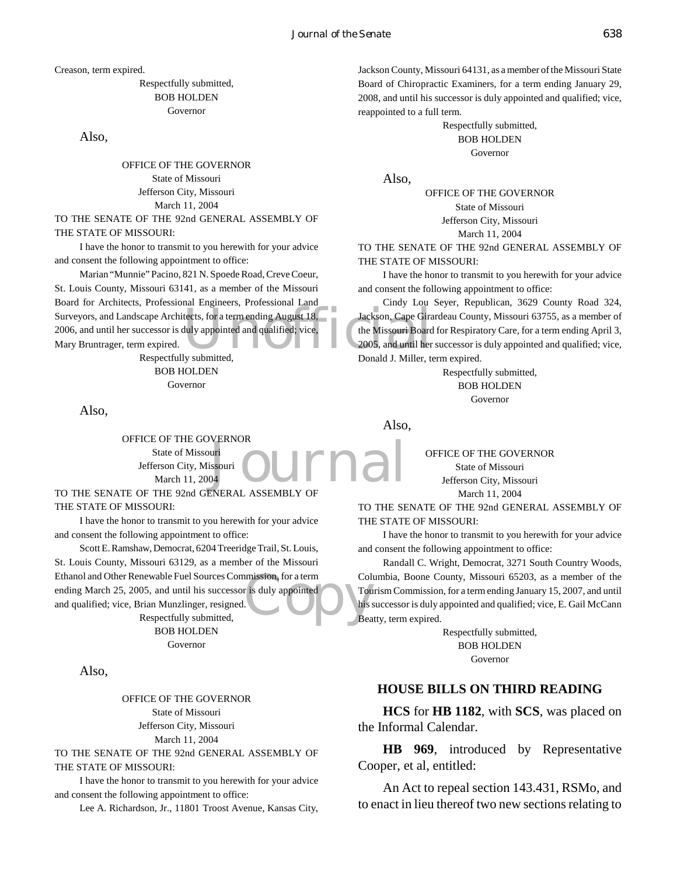Creason, term expired.

Respectfully submitted, BOB HOLDEN Governor

Also,

OFFICE OF THE GOVERNOR State of Missouri Jefferson City, Missouri March 11, 2004 TO THE SENATE OF THE 92nd GENERAL ASSEMBLY OF

THE STATE OF MISSOURI:

I have the honor to transmit to you herewith for your advice and consent the following appointment to office:

Surveyors, and Landscape Architects, for a term ending August 18,<br>2006, and until her successor is duly appointed and qualified; vice,<br>Mary Bruntrager, term expired.<br>2005, and until her Respectfully submitted. Marian "Munnie" Pacino, 821 N. Spoede Road, Creve Coeur, St. Louis County, Missouri 63141, as a member of the Missouri Board for Architects, Professional Engineers, Professional Land 2006, and until her successor is duly appointed and qualified; vice, Mary Bruntrager, term expired.

Respectfully submitted, BOB HOLDEN Governor

Also,

**DUTNAL** OFFICE OF THE GOVERNOR State of Missouri Jefferson City, Missouri March 11, 2004

TO THE SENATE OF THE 92nd GENERAL ASSEMBLY OF THE STATE OF MISSOURI:

I have the honor to transmit to you herewith for your advice and consent the following appointment to office:

mission, for a term<br>
r is duly appointed<br>
this s<br>
Bea Scott E. Ramshaw, Democrat, 6204 Treeridge Trail, St. Louis, St. Louis County, Missouri 63129, as a member of the Missouri Ethanol and Other Renewable Fuel Sources Commission, for a term ending March 25, 2005, and until his successor is duly appointed and qualified; vice, Brian Munzlinger, resigned. Respectfully submitted,

BOB HOLDEN Governor

Also,

OFFICE OF THE GOVERNOR State of Missouri Jefferson City, Missouri March 11, 2004

TO THE SENATE OF THE 92nd GENERAL ASSEMBLY OF THE STATE OF MISSOURI:

I have the honor to transmit to you herewith for your advice and consent the following appointment to office:

Lee A. Richardson, Jr., 11801 Troost Avenue, Kansas City,

Jackson County, Missouri 64131, as a member of the Missouri State Board of Chiropractic Examiners, for a term ending January 29, 2008, and until his successor is duly appointed and qualified; vice, reappointed to a full term.

> Respectfully submitted, BOB HOLDEN Governor

Also,

OFFICE OF THE GOVERNOR State of Missouri Jefferson City, Missouri March 11, 2004

TO THE SENATE OF THE 92nd GENERAL ASSEMBLY OF THE STATE OF MISSOURI:

I have the honor to transmit to you herewith for your advice and consent the following appointment to office:

Cindy Lou Seyer, Republican, 3629 County Road 324, Jackson, Cape Girardeau County, Missouri 63755, as a member of the Missouri Board for Respiratory Care, for a term ending April 3, 2005, and until her successor is duly appointed and qualified; vice, Donald J. Miller, term expired.

> Respectfully submitted, BOB HOLDEN Governor

Also,

OFFICE OF THE GOVERNOR State of Missouri Jefferson City, Missouri March 11, 2004

TO THE SENATE OF THE 92nd GENERAL ASSEMBLY OF THE STATE OF MISSOURI:

I have the honor to transmit to you herewith for your advice and consent the following appointment to office:

Randall C. Wright, Democrat, 3271 South Country Woods, Columbia, Boone County, Missouri 65203, as a member of the Tourism Commission, for a term ending January 15, 2007, and until his successor is duly appointed and qualified; vice, E. Gail McCann Beatty, term expired.

> Respectfully submitted, BOB HOLDEN Governor

#### **HOUSE BILLS ON THIRD READING**

**HCS** for **HB 1182**, with **SCS**, was placed on the Informal Calendar.

**HB 969**, introduced by Representative Cooper, et al, entitled:

An Act to repeal section 143.431, RSMo, and to enact in lieu thereof two new sections relating to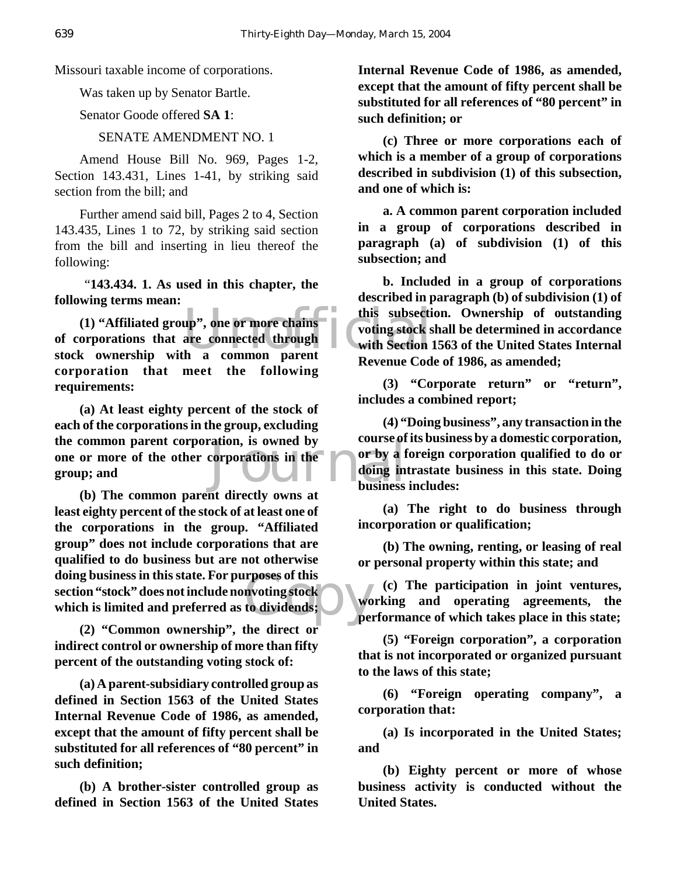Missouri taxable income of corporations.

Was taken up by Senator Bartle.

Senator Goode offered **SA 1**:

SENATE AMENDMENT NO. 1

Amend House Bill No. 969, Pages 1-2, Section 143.431, Lines 1-41, by striking said section from the bill; and

Further amend said bill, Pages 2 to 4, Section 143.435, Lines 1 to 72, by striking said section from the bill and inserting in lieu thereof the following:

 "**143.434. 1. As used in this chapter, the following terms mean:**

up", one or more chains<br>are connected through<br>the a common parent processes are connected through<br>the a common parent processes  $\overline{C}$ **(1) "Affiliated group", one or more chains of corporations that are connected through stock ownership with a common parent corporation that meet the following requirements:**

extion, is owned by<br>corporations in the or by a f<br>doing in **(a) At least eighty percent of the stock of each of the corporations in the group, excluding the common parent corporation, is owned by one or more of the other corporations in the group; and**

**The Second Second Second Second Second Second Second Second Second Second Second Second Second Second Second Second Second Second Second Second Second Second Second Second Second Second Second Second Second Second Second (b) The common parent directly owns at least eighty percent of the stock of at least one of the corporations in the group. "Affiliated group" does not include corporations that are qualified to do business but are not otherwise doing business in this state. For purposes of this section "stock" does not include nonvoting stock which is limited and preferred as to dividends;**

**(2) "Common ownership", the direct or indirect control or ownership of more than fifty percent of the outstanding voting stock of:**

**(a) A parent-subsidiary controlled group as defined in Section 1563 of the United States Internal Revenue Code of 1986, as amended, except that the amount of fifty percent shall be substituted for all references of "80 percent" in such definition;**

**(b) A brother-sister controlled group as defined in Section 1563 of the United States** **Internal Revenue Code of 1986, as amended, except that the amount of fifty percent shall be substituted for all references of "80 percent" in such definition; or**

**(c) Three or more corporations each of which is a member of a group of corporations described in subdivision (1) of this subsection, and one of which is:**

**a. A common parent corporation included in a group of corporations described in paragraph (a) of subdivision (1) of this subsection; and**

**b. Included in a group of corporations described in paragraph (b) of subdivision (1) of this subsection. Ownership of outstanding voting stock shall be determined in accordance with Section 1563 of the United States Internal Revenue Code of 1986, as amended;**

**(3) "Corporate return" or "return", includes a combined report;**

**(4) "Doing business", any transaction in the course of its business by a domestic corporation, or by a foreign corporation qualified to do or doing intrastate business in this state. Doing business includes:**

**(a) The right to do business through incorporation or qualification;**

**(b) The owning, renting, or leasing of real or personal property within this state; and**

**(c) The participation in joint ventures, working and operating agreements, the performance of which takes place in this state;**

**(5) "Foreign corporation", a corporation that is not incorporated or organized pursuant to the laws of this state;**

**(6) "Foreign operating company", a corporation that:**

**(a) Is incorporated in the United States; and**

**(b) Eighty percent or more of whose business activity is conducted without the United States.**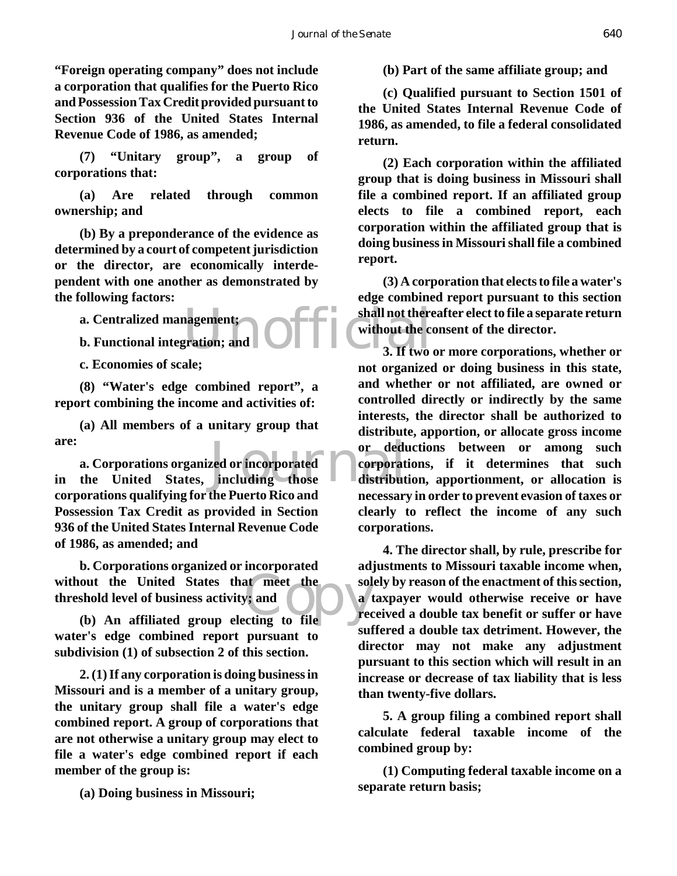**"Foreign operating company" does not include a corporation that qualifies for the Puerto Rico and Possession Tax Credit provided pursuant to Section 936 of the United States Internal Revenue Code of 1986, as amended;**

**(7) "Unitary group", a group of corporations that:**

**(a) Are related through common ownership; and**

**(b) By a preponderance of the evidence as determined by a court of competent jurisdiction or the director, are economically interdependent with one another as demonstrated by the following factors:**

**a. Centralized management;**

**b. Functional integration; and**

**c. Economies of scale;**

**(8) "Water's edge combined report", a report combining the income and activities of:**

**(a) All members of a unitary group that are:**

are: or dedu<br> **a. Corporations organized or incorporated a. Corporations organized or incorporated corporations**<br>
in the United States, including those distribut **a. Corporations organized or incorporated corporations qualifying for the Puerto Rico and Possession Tax Credit as provided in Section 936 of the United States Internal Revenue Code of 1986, as amended; and**

out the United States that meet the solution of business activity; and (b) An affiliated group electing to file **b. Corporations organized or incorporated without the United States that meet the threshold level of business activity; and**

**water's edge combined report pursuant to subdivision (1) of subsection 2 of this section.**

**2. (1) If any corporation is doing business in Missouri and is a member of a unitary group, the unitary group shall file a water's edge combined report. A group of corporations that are not otherwise a unitary group may elect to file a water's edge combined report if each member of the group is:**

**(a) Doing business in Missouri;**

**(b) Part of the same affiliate group; and**

**(c) Qualified pursuant to Section 1501 of the United States Internal Revenue Code of 1986, as amended, to file a federal consolidated return.**

**(2) Each corporation within the affiliated group that is doing business in Missouri shall file a combined report. If an affiliated group elects to file a combined report, each corporation within the affiliated group that is doing business in Missouri shall file a combined report.**

agement;<br>gration; and **OPPPER EXECUTER** without the co **(3) A corporation that elects to file a water's edge combined report pursuant to this section shall not thereafter elect to file a separate return without the consent of the director.**

**3. If two or more corporations, whether or not organized or doing business in this state, and whether or not affiliated, are owned or controlled directly or indirectly by the same interests, the director shall be authorized to distribute, apportion, or allocate gross income or deductions between or among such corporations, if it determines that such distribution, apportionment, or allocation is necessary in order to prevent evasion of taxes or clearly to reflect the income of any such corporations.**

**4. The director shall, by rule, prescribe for adjustments to Missouri taxable income when, solely by reason of the enactment of this section, a taxpayer would otherwise receive or have received a double tax benefit or suffer or have suffered a double tax detriment. However, the director may not make any adjustment pursuant to this section which will result in an increase or decrease of tax liability that is less than twenty-five dollars.**

**5. A group filing a combined report shall calculate federal taxable income of the combined group by:**

**(1) Computing federal taxable income on a separate return basis;**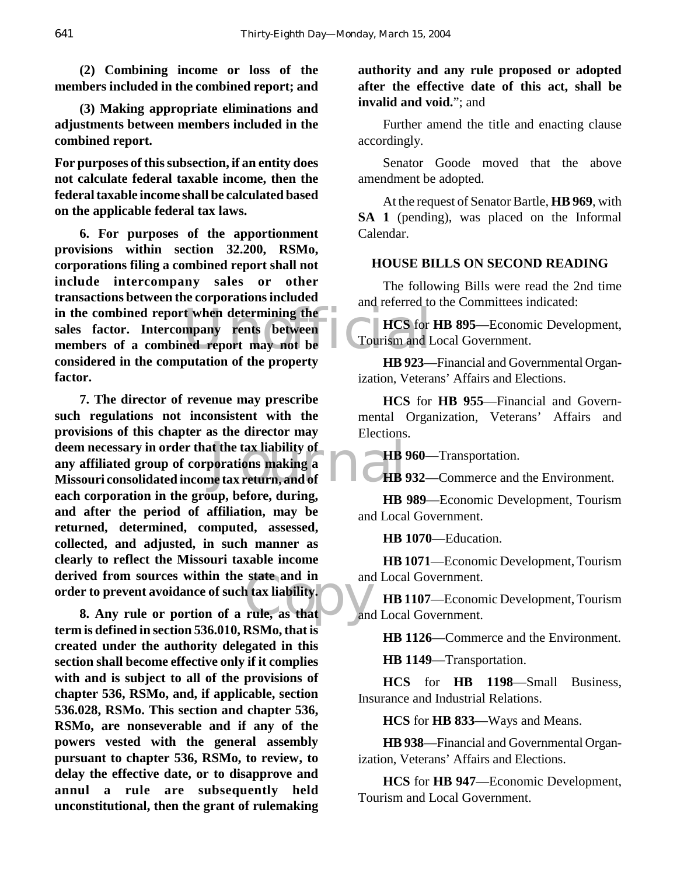**(2) Combining income or loss of the members included in the combined report; and**

**(3) Making appropriate eliminations and adjustments between members included in the combined report.**

**For purposes of this subsection, if an entity does not calculate federal taxable income, then the federal taxable income shall be calculated based on the applicable federal tax laws.**

in the combined report when determining the<br>
sales factor. Intercompany rents between<br>
members of a combined report may not be<br>
annel comparison of the preparty. **6. For purposes of the apportionment provisions within section 32.200, RSMo, corporations filing a combined report shall not include intercompany sales or other transactions between the corporations included sales factor. Intercompany rents between members of a combined report may not be considered in the computation of the property factor.**

deem necessary in order that the tax liability of<br>any affiliated group of corporations making a<br>Missouri consolidated income tax return, and of state and in and<br>
a tax liability.<br>
rule, as that and **7. The director of revenue may prescribe such regulations not inconsistent with the provisions of this chapter as the director may deem necessary in order that the tax liability of any affiliated group of corporations making a each corporation in the group, before, during, and after the period of affiliation, may be returned, determined, computed, assessed, collected, and adjusted, in such manner as clearly to reflect the Missouri taxable income derived from sources within the state and in order to prevent avoidance of such tax liability.**

**8. Any rule or portion of a rule, as that term is defined in section 536.010, RSMo, that is created under the authority delegated in this section shall become effective only if it complies with and is subject to all of the provisions of chapter 536, RSMo, and, if applicable, section 536.028, RSMo. This section and chapter 536, RSMo, are nonseverable and if any of the powers vested with the general assembly pursuant to chapter 536, RSMo, to review, to delay the effective date, or to disapprove and annul a rule are subsequently held unconstitutional, then the grant of rulemaking**

**authority and any rule proposed or adopted after the effective date of this act, shall be invalid and void.**"; and

Further amend the title and enacting clause accordingly.

Senator Goode moved that the above amendment be adopted.

At the request of Senator Bartle, **HB 969**, with **SA 1** (pending), was placed on the Informal Calendar.

#### **HOUSE BILLS ON SECOND READING**

The following Bills were read the 2nd time and referred to the Committees indicated:

**HCS** for **HB 895**—Economic Development, Tourism and Local Government.

**HB 923**—Financial and Governmental Organization, Veterans' Affairs and Elections.

**HCS** for **HB 955**—Financial and Governmental Organization, Veterans' Affairs and Elections.

**HB 960**—Transportation.

**HB 932**—Commerce and the Environment.

**HB 989**—Economic Development, Tourism and Local Government.

**HB 1070**—Education.

**HB 1071**—Economic Development, Tourism and Local Government.

**HB 1107**—Economic Development, Tourism and Local Government.

**HB 1126**—Commerce and the Environment.

**HB 1149**—Transportation.

**HCS** for **HB 1198**—Small Business, Insurance and Industrial Relations.

**HCS** for **HB 833**—Ways and Means.

**HB 938**—Financial and Governmental Organization, Veterans' Affairs and Elections.

**HCS** for **HB 947**—Economic Development, Tourism and Local Government.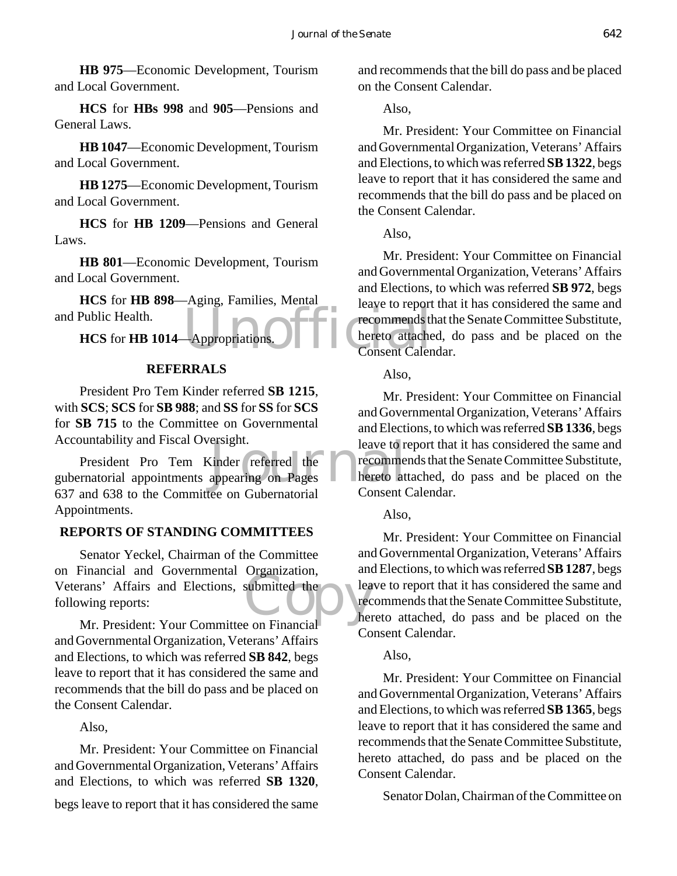**HB 975**—Economic Development, Tourism and Local Government.

**HCS** for **HBs 998** and **905**—Pensions and General Laws.

**HB 1047**—Economic Development, Tourism and Local Government.

**HB 1275**—Economic Development, Tourism and Local Government.

**HCS** for **HB 1209**—Pensions and General Laws.

**HB 801**—Economic Development, Tourism and Local Government.

**HCS** for **HB 898**—Aging, Families, Mental and Public Health.

**HCS** for **HB 1014**—Appropriations.

#### **REFERRALS**

President Pro Tem Kinder referred **SB 1215**, with **SCS**; **SCS** for **SB 988**; and **SS** for **SS** for **SCS** for **SB 715** to the Committee on Governmental Accountability and Fiscal Oversight.

ersignt.<br>
Leave to referred the recomme<br>
appearing on Pages<br>
and Consent to the record President Pro Tem Kinder referred the gubernatorial appointments appearing on Pages 637 and 638 to the Committee on Gubernatorial Appointments.

#### **REPORTS OF STANDING COMMITTEES**

submitted the Senator Yeckel, Chairman of the Committee on Financial and Governmental Organization, Veterans' Affairs and Elections, submitted the following reports:

Mr. President: Your Committee on Financial and Governmental Organization, Veterans' Affairs and Elections, to which was referred **SB 842**, begs leave to report that it has considered the same and recommends that the bill do pass and be placed on the Consent Calendar.

#### Also,

Mr. President: Your Committee on Financial and Governmental Organization, Veterans' Affairs and Elections, to which was referred **SB 1320**,

begs leave to report that it has considered the same

and recommends that the bill do pass and be placed on the Consent Calendar.

#### Also,

Mr. President: Your Committee on Financial and Governmental Organization, Veterans' Affairs and Elections, to which was referred **SB 1322**, begs leave to report that it has considered the same and recommends that the bill do pass and be placed on the Consent Calendar.

Also,

Appropriations. Mr. President: Your Committee on Financial and Governmental Organization, Veterans' Affairs and Elections, to which was referred **SB 972**, begs leave to report that it has considered the same and recommends that the Senate Committee Substitute, hereto attached, do pass and be placed on the Consent Calendar.

Also,

Mr. President: Your Committee on Financial and Governmental Organization, Veterans' Affairs and Elections, to which was referred **SB 1336**, begs leave to report that it has considered the same and recommends that the Senate Committee Substitute, hereto attached, do pass and be placed on the Consent Calendar.

#### Also,

Mr. President: Your Committee on Financial and Governmental Organization, Veterans' Affairs and Elections, to which was referred **SB 1287**, begs leave to report that it has considered the same and recommends that the Senate Committee Substitute, hereto attached, do pass and be placed on the Consent Calendar.

#### Also,

Mr. President: Your Committee on Financial and Governmental Organization, Veterans' Affairs and Elections, to which was referred **SB 1365**, begs leave to report that it has considered the same and recommends that the Senate Committee Substitute, hereto attached, do pass and be placed on the Consent Calendar.

Senator Dolan, Chairman of the Committee on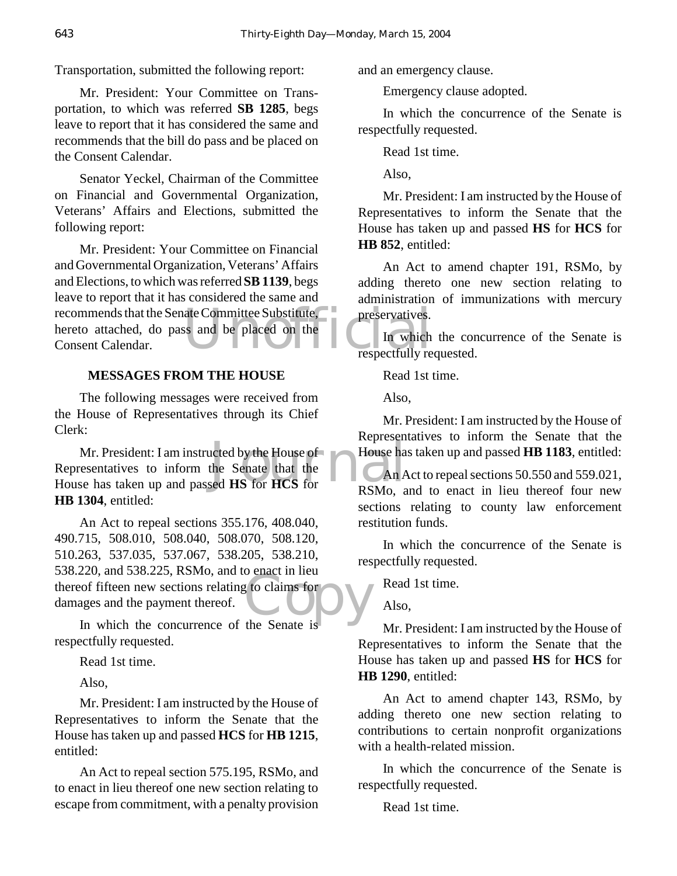Transportation, submitted the following report:

Mr. President: Your Committee on Transportation, to which was referred **SB 1285**, begs leave to report that it has considered the same and recommends that the bill do pass and be placed on the Consent Calendar.

Senator Yeckel, Chairman of the Committee on Financial and Governmental Organization, Veterans' Affairs and Elections, submitted the following report:

recommends that the Senate Committee Substitute, preservatives.<br>
hereto attached, do pass and be placed on the In which<br>
Consent Calendar.<br>
Figures 2.1 The View of the Consent Calendar. Mr. President: Your Committee on Financial and Governmental Organization, Veterans' Affairs and Elections, to which was referred **SB 1139**, begs leave to report that it has considered the same and hereto attached, do pass and be placed on the Consent Calendar.

#### **MESSAGES FROM THE HOUSE**

The following messages were received from the House of Representatives through its Chief Clerk:

Mr. President: I am instructed by the House of<br>
resentatives to inform the Senate that the<br>
Senate that the<br>
RSMo a<br>
RSMo a Representatives to inform the Senate that the House has taken up and passed **HS** for **HCS** for **HB 1304**, entitled:

to claims for<br>the Senate is An Act to repeal sections 355.176, 408.040, 490.715, 508.010, 508.040, 508.070, 508.120, 510.263, 537.035, 537.067, 538.205, 538.210, 538.220, and 538.225, RSMo, and to enact in lieu thereof fifteen new sections relating to claims for damages and the payment thereof.

In which the concurrence of the Senate is respectfully requested.

Read 1st time.

Also,

Mr. President: I am instructed by the House of Representatives to inform the Senate that the House has taken up and passed **HCS** for **HB 1215**, entitled:

An Act to repeal section 575.195, RSMo, and to enact in lieu thereof one new section relating to escape from commitment, with a penalty provision

and an emergency clause.

Emergency clause adopted.

In which the concurrence of the Senate is respectfully requested.

Read 1st time.

Also,

Mr. President: I am instructed by the House of Representatives to inform the Senate that the House has taken up and passed **HS** for **HCS** for **HB 852**, entitled:

An Act to amend chapter 191, RSMo, by adding thereto one new section relating to administration of immunizations with mercury preservatives.

In which the concurrence of the Senate is respectfully requested.

Read 1st time.

Also,

Mr. President: I am instructed by the House of Representatives to inform the Senate that the House has taken up and passed **HB 1183**, entitled:

An Act to repeal sections 50.550 and 559.021, RSMo, and to enact in lieu thereof four new sections relating to county law enforcement restitution funds.

In which the concurrence of the Senate is respectfully requested.

Read 1st time.

Also,

Mr. President: I am instructed by the House of Representatives to inform the Senate that the House has taken up and passed **HS** for **HCS** for **HB 1290**, entitled:

An Act to amend chapter 143, RSMo, by adding thereto one new section relating to contributions to certain nonprofit organizations with a health-related mission.

In which the concurrence of the Senate is respectfully requested.

Read 1st time.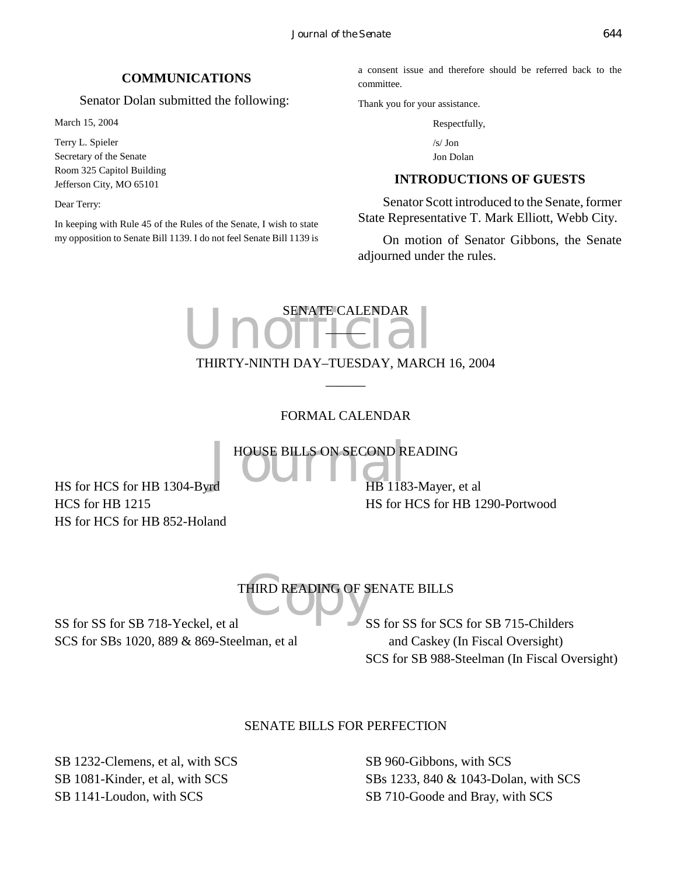#### **COMMUNICATIONS**

Senator Dolan submitted the following:

March 15, 2004

Terry L. Spieler Secretary of the Senate Room 325 Capitol Building Jefferson City, MO 65101

Dear Terry:

In keeping with Rule 45 of the Rules of the Senate, I wish to state my opposition to Senate Bill 1139. I do not feel Senate Bill 1139 is

a consent issue and therefore should be referred back to the committee.

Thank you for your assistance.

Respectfully,

/s/ Jon Jon Dolan

#### **INTRODUCTIONS OF GUESTS**

Senator Scott introduced to the Senate, former State Representative T. Mark Elliott, Webb City.

On motion of Senator Gibbons, the Senate adjourned under the rules.

# Unofficialendar SENATE CALENDAR  $\Box$ THIRTY-NINTH DAY–TUESDAY, MARCH 16, 2004

# FORMAL CALENDAR

 $\overline{\phantom{a}}$ 

HOUSE BILLS ON SECOND READING<br>
HB 1183-Mayer,

HS for HCS for HB 1304-Byrd HCS for HB 1215 HS for HCS for HB 852-Holand HB 1183-Mayer, et al HS for HCS for HB 1290-Portwood

# THIRD READING OF S THIRD READING OF SENATE BILLS

SS for SS for SB 718-Yeckel, et al SCS for SBs 1020, 889 & 869-Steelman, et al SS for SS for SCS for SB 715-Childers and Caskey (In Fiscal Oversight) SCS for SB 988-Steelman (In Fiscal Oversight)

# SENATE BILLS FOR PERFECTION

SB 1232-Clemens, et al, with SCS SB 1081-Kinder, et al, with SCS SB 1141-Loudon, with SCS

SB 960-Gibbons, with SCS SBs 1233, 840 & 1043-Dolan, with SCS SB 710-Goode and Bray, with SCS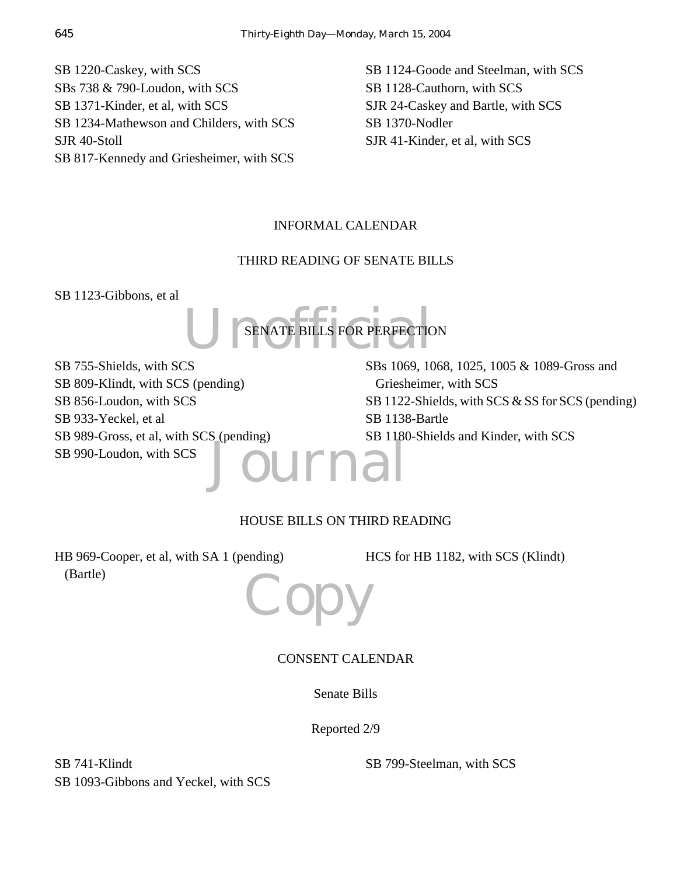SB 1220-Caskey, with SCS SBs 738 & 790-Loudon, with SCS SB 1371-Kinder, et al, with SCS SB 1234-Mathewson and Childers, with SCS SJR 40-Stoll SB 817-Kennedy and Griesheimer, with SCS SB 1124-Goode and Steelman, with SCS SB 1128-Cauthorn, with SCS SJR 24-Caskey and Bartle, with SCS SB 1370-Nodler SJR 41-Kinder, et al, with SCS

# INFORMAL CALENDAR

# THIRD READING OF SENATE BILLS

SB 1123-Gibbons, et al



Journal SB 755-Shields, with SCS SB 809-Klindt, with SCS (pending) SB 856-Loudon, with SCS SB 933-Yeckel, et al SB 989-Gross, et al, with SCS (pending) SB 990-Loudon, with SCS

SBs 1069, 1068, 1025, 1005 & 1089-Gross and Griesheimer, with SCS SB 1122-Shields, with SCS & SS for SCS (pending) SB 1138-Bartle SB 1180-Shields and Kinder, with SCS

# HOUSE BILLS ON THIRD READING

HB 969-Cooper, et al, with SA 1 (pending) (Bartle)

HCS for HB 1182, with SCS (Klindt)



# CONSENT CALENDAR

Senate Bills

Reported 2/9

SB 741-Klindt SB 1093-Gibbons and Yeckel, with SCS

SB 799-Steelman, with SCS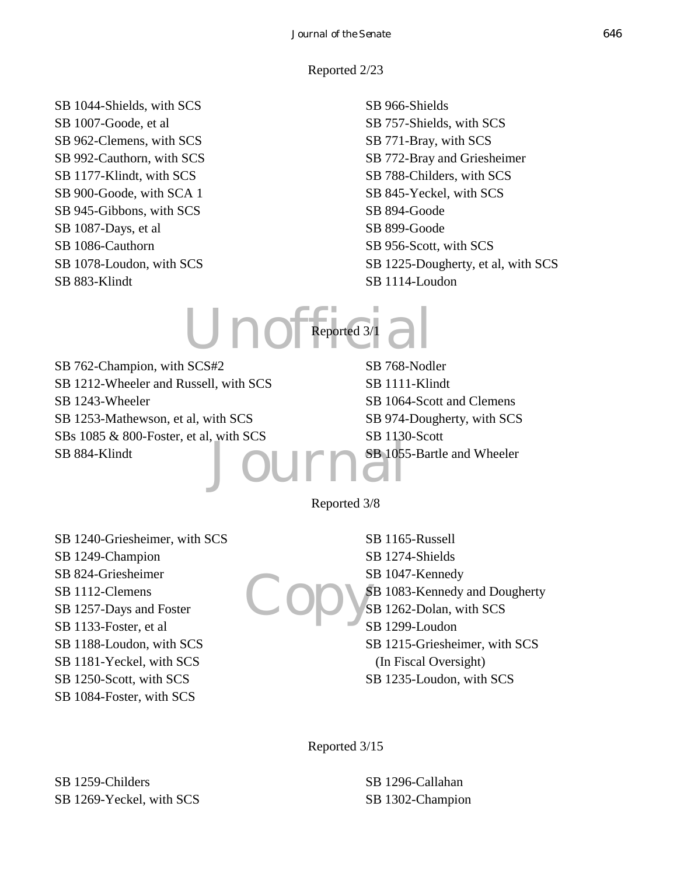Reported 2/23

SB 1044-Shields, with SCS SB 1007-Goode, et al SB 962-Clemens, with SCS SB 992-Cauthorn, with SCS SB 1177-Klindt, with SCS SB 900-Goode, with SCA 1 SB 945-Gibbons, with SCS SB 1087-Days, et al SB 1086-Cauthorn SB 1078-Loudon, with SCS SB 883-Klindt

# SB 966-Shields SB 757-Shields, with SCS SB 771-Bray, with SCS SB 772-Bray and Griesheimer SB 788-Childers, with SCS SB 845-Yeckel, with SCS SB 894-Goode SB 899-Goode SB 956-Scott, with SCS SB 1225-Dougherty, et al, with SCS SB 1114-Loudon

Unofficial Reported 3/1

Journ SB 762-Champion, with SCS#2 SB 1212-Wheeler and Russell, with SCS SB 1243-Wheeler SB 1253-Mathewson, et al, with SCS SBs 1085 & 800-Foster, et al, with SCS SB 884-Klindt

SB 768-Nodler SB 1111-Klindt SB 1064-Scott and Clemens SB 974-Dougherty, with SCS SB 1130-Scott SB 1055-Bartle and Wheeler

Reported 3/8

SB 1240-Griesheimer, with SCS SB 1249-Champion SB 824-Griesheimer SB 1112-Clemens SB 1257-Days and Foster SB 1133-Foster, et al SB 1188-Loudon, with SCS SB 1181-Yeckel, with SCS SB 1250-Scott, with SCS SB 1084-Foster, with SCS

Copy's SB 1165-Russell SB 1274-Shields SB 1047-Kennedy SB 1083-Kennedy and Dougherty SB 1262-Dolan, with SCS SB 1299-Loudon SB 1215-Griesheimer, with SCS (In Fiscal Oversight) SB 1235-Loudon, with SCS

Reported 3/15

SB 1296-Callahan SB 1302-Champion

SB 1259-Childers SB 1269-Yeckel, with SCS